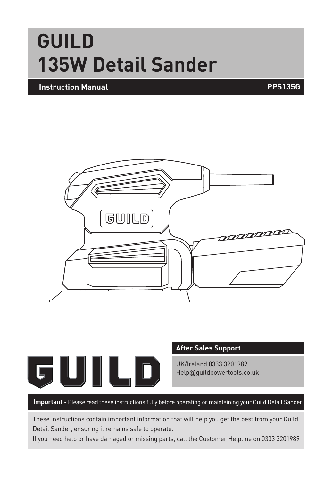# **GUILD 135W Detail Sander**

#### **Instruction Manual**

**PPS135G**





#### **After Sales Support**

UK/Ireland 0333 3201989 Help@guildpowertools.co.uk

**Important** - Please read these instructions fully before operating or maintaining your Guild Detail Sander

These instructions contain important information that will help you get the best from your Guild Detail Sander, ensuring it remains safe to operate.

If you need help or have damaged or missing parts, call the Customer Helpline on 0333 3201989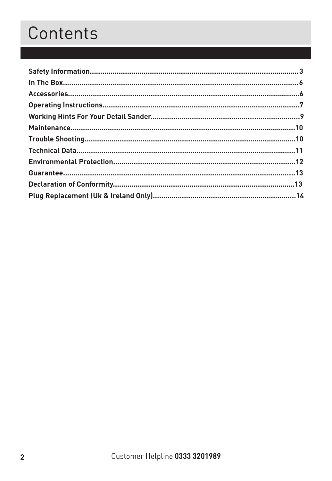## Contents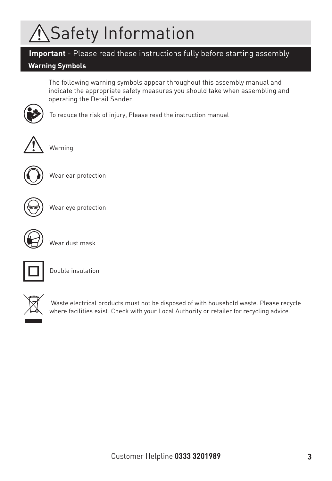# $\Lambda$ Safety Information

#### **Important** - Please read these instructions fully before starting assembly

#### **Warning Symbols**

The following warning symbols appear throughout this assembly manual and indicate the appropriate safety measures you should take when assembling and operating the Detail Sander.



To reduce the risk of injury, Please read the instruction manual



Warning



Wear ear protection



Wear eye protection



Wear dust mask



Double insulation



 Waste electrical products must not be disposed of with household waste. Please recycle where facilities exist. Check with your Local Authority or retailer for recycling advice.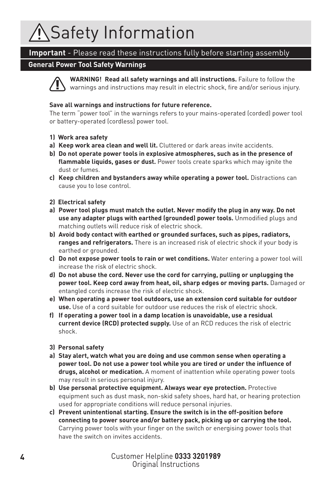# Safety Information

#### **Important** - Please read these instructions fully before starting assembly

#### **General Power Tool Safety Warnings**

**WARNING! Read all safety warnings and all instructions.** Failure to follow the warnings and instructions may result in electric shock, fire and/or serious injury.

#### **Save all warnings and instructions for future reference.**

The term "power tool" in the warnings refers to your mains-operated (corded) power tool or battery-operated (cordless) power tool.

- **1) Work area safety**
- **a) Keep work area clean and well lit.** Cluttered or dark areas invite accidents.
- **b) Do not operate power tools in explosive atmospheres, such as in the presence of flammable liquids, gases or dust.** Power tools create sparks which may ignite the dust or fumes.
- **c) Keep children and bystanders away while operating a power tool.** Distractions can cause you to lose control.
- **2) Electrical safety**
- **a) Power tool plugs must match the outlet. Never modify the plug in any way. Do not use any adapter plugs with earthed (grounded) power tools.** Unmodified plugs and matching outlets will reduce risk of electric shock.
- **b) Avoid body contact with earthed or grounded surfaces, such as pipes, radiators, ranges and refrigerators.** There is an increased risk of electric shock if your body is earthed or grounded.
- **c) Do not expose power tools to rain or wet conditions.** Water entering a power tool will increase the risk of electric shock.
- **d) Do not abuse the cord. Never use the cord for carrying, pulling or unplugging the power tool. Keep cord away from heat, oil, sharp edges or moving parts.** Damaged or entangled cords increase the risk of electric shock.
- **e) When operating a power tool outdoors, use an extension cord suitable for outdoor use.** Use of a cord suitable for outdoor use reduces the risk of electric shock.
- **f) If operating a power tool in a damp location is unavoidable, use a residual current device (RCD) protected supply.** Use of an RCD reduces the risk of electric shock.
- **3) Personal safety**
- **a) Stay alert, watch what you are doing and use common sense when operating a power tool. Do not use a power tool while you are tired or under the influence of drugs, alcohol or medication.** A moment of inattention while operating power tools may result in serious personal injury.
- **b) Use personal protective equipment. Always wear eye protection.** Protective equipment such as dust mask, non-skid safety shoes, hard hat, or hearing protection used for appropriate conditions will reduce personal injuries.
- **c) Prevent unintentional starting. Ensure the switch is in the off-position before connecting to power source and/or battery pack, picking up or carrying the tool.**  Carrying power tools with your finger on the switch or energising power tools that have the switch on invites accidents.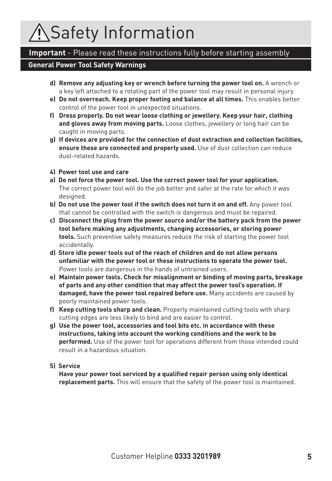# $\Lambda$ Safety Information

#### **Important** - Please read these instructions fully before starting assembly

#### **General Power Tool Safety Warnings**

- **d)** Remove any adjusting key or wrench before turning the power tool on. A wrench or a key left attached to a rotating part of the power tool may result in personal injury.
- **e) Do not overreach. Keep proper footing and balance at all times.** This enables better control of the power tool in unexpected situations.
- **f) Dress properly. Do not wear loose clothing or jewellery. Keep your hair, clothing and gloves away from moving parts.** Loose clothes, jewellery or long hair can be caught in moving parts.
- **g) If devices are provided for the connection of dust extraction and collection facilities, ensure these are connected and properly used.** Use of dust collection can reduce dust-related hazards.
- **4) Power tool use and care**
- **a) Do not force the power tool. Use the correct power tool for your application.**  The correct power tool will do the job better and safer at the rate for which it was designed.
- **b) Do not use the power tool if the switch does not turn it on and off.** Any power tool that cannot be controlled with the switch is dangerous and must be repaired.
- **c) Disconnect the plug from the power source and/or the battery pack from the power tool before making any adjustments, changing accessories, or storing power tools.** Such preventive safety measures reduce the risk of starting the power tool accidentally.
- **d) Store idle power tools out of the reach of children and do not allow persons unfamiliar with the power tool or these instructions to operate the power tool.**  Power tools are dangerous in the hands of untrained users.
- **e) Maintain power tools. Check for misalignment or binding of moving parts, breakage of parts and any other condition that may affect the power tool's operation. If damaged, have the power tool repaired before use.** Many accidents are caused by poorly maintained power tools.
- **f) Keep cutting tools sharp and clean.** Properly maintained cutting tools with sharp cutting edges are less likely to bind and are easier to control.
- **g) Use the power tool, accessories and tool bits etc. in accordance with these instructions, taking into account the working conditions and the work to be performed.** Use of the power tool for operations different from those intended could result in a hazardous situation.

**5) Service**

**Have your power tool serviced by a qualified repair person using only identical replacement parts.** This will ensure that the safety of the power tool is maintained.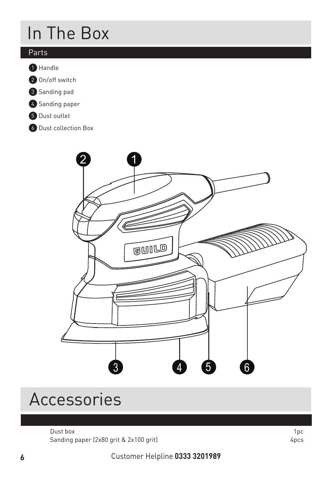## In The Box

#### Parts

- Handle
- On/off switch
- Sanding pad
- Sanding paper
- Dust outlet
- Dust collection Box



## Accessories

Dust box 1pc Sanding paper (2x80 grit & 2x100 grit) 4pcs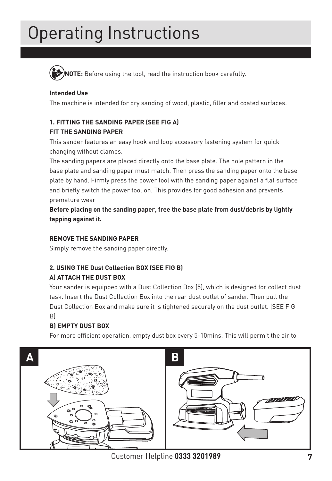## Operating Instructions



#### **Intended Use**

The machine is intended for dry sanding of wood, plastic, filler and coated surfaces.

#### **1. FITTING THE SANDING PAPER (SEE FIG A) FIT THE SANDING PAPER**

This sander features an easy hook and loop accessory fastening system for quick changing without clamps.

The sanding papers are placed directly onto the base plate. The hole pattern in the base plate and sanding paper must match. Then press the sanding paper onto the base plate by hand. Firmly press the power tool with the sanding paper against a flat surface and briefly switch the power tool on. This provides for good adhesion and prevents premature wear

**Before placing on the sanding paper, free the base plate from dust/debris by lightly tapping against it.**

#### **REMOVE THE SANDING PAPER**

Simply remove the sanding paper directly.

#### **2. USING THE Dust Collection BOX (SEE FIG B) A) ATTACH THE DUST BOX**

Your sander is equipped with a Dust Collection Box (5), which is designed for collect dust task. Insert the Dust Collection Box into the rear dust outlet of sander. Then pull the Dust Collection Box and make sure it is tightened securely on the dust outlet. (SEE FIG B)

#### **B) EMPTY DUST BOX**

For more efficient operation, empty dust box every 5-10mins. This will permit the air to



Customer Helpline **0333 3201989 7**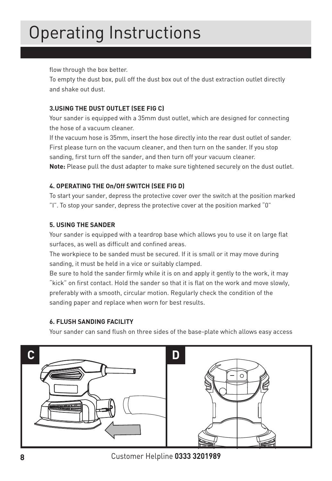## Operating Instructions

flow through the box better.

To empty the dust box, pull off the dust box out of the dust extraction outlet directly and shake out dust.

#### **3.USING THE DUST OUTLET (SEE FIG C)**

Your sander is equipped with a 35mm dust outlet, which are designed for connecting the hose of a vacuum cleaner.

If the vacuum hose is 35mm, insert the hose directly into the rear dust outlet of sander. First please turn on the vacuum cleaner, and then turn on the sander. If you stop sanding, first turn off the sander, and then turn off your vacuum cleaner.

**Note:** Please pull the dust adapter to make sure tightened securely on the dust outlet.

#### **4. OPERATING THE On/Off SWITCH (SEE FIG D)**

To start your sander, depress the protective cover over the switch at the position marked "I". To stop your sander, depress the protective cover at the position marked "0"

#### **5. USING THE SANDER**

Your sander is equipped with a teardrop base which allows you to use it on large flat surfaces, as well as difficult and confined areas.

The workpiece to be sanded must be secured. If it is small or it may move during sanding, it must be held in a vice or suitably clamped.

Be sure to hold the sander firmly while it is on and apply it gently to the work, it may "kick" on first contact. Hold the sander so that it is flat on the work and move slowly, preferably with a smooth, circular motion. Regularly check the condition of the sanding paper and replace when worn for best results.

#### **6. FLUSH SANDING FACILITY**

Your sander can sand flush on three sides of the base-plate which allows easy access



**8** Customer Helpline **0333 3201989**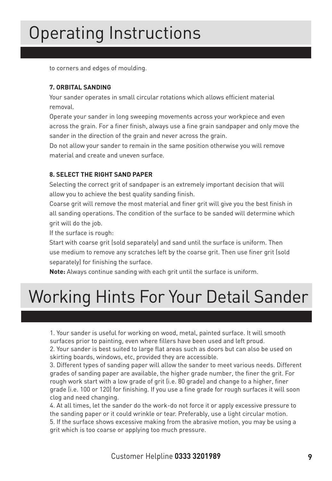to corners and edges of moulding.

#### **7. ORBITAL SANDING**

Your sander operates in small circular rotations which allows efficient material removal.

Operate your sander in long sweeping movements across your workpiece and even across the grain. For a finer finish, always use a fine grain sandpaper and only move the sander in the direction of the grain and never across the grain.

Do not allow your sander to remain in the same position otherwise you will remove material and create and uneven surface.

#### **8. SELECT THE RIGHT SAND PAPER**

Selecting the correct grit of sandpaper is an extremely important decision that will allow you to achieve the best quality sanding finish.

Coarse grit will remove the most material and finer grit will give you the best finish in all sanding operations. The condition of the surface to be sanded will determine which grit will do the job.

If the surface is rough:

Start with coarse grit (sold separately) and sand until the surface is uniform. Then use medium to remove any scratches left by the coarse grit. Then use finer grit (sold separately) for finishing the surface.

**Note:** Always continue sanding with each grit until the surface is uniform.

## Working Hints For Your Detail Sander

1. Your sander is useful for working on wood, metal, painted surface. It will smooth surfaces prior to painting, even where fillers have been used and left proud.

2. Your sander is best suited to large flat areas such as doors but can also be used on skirting boards, windows, etc, provided they are accessible.

3. Different types of sanding paper will allow the sander to meet various needs. Different grades of sanding paper are available, the higher grade number, the finer the grit. For rough work start with a low grade of grit (i.e. 80 grade) and change to a higher, finer grade (i.e. 100 or 120) for finishing. If you use a fine grade for rough surfaces it will soon clog and need changing.

4. At all times, let the sander do the work-do not force it or apply excessive pressure to the sanding paper or it could wrinkle or tear. Preferably, use a light circular motion. 5. If the surface shows excessive making from the abrasive motion, you may be using a grit which is too coarse or applying too much pressure.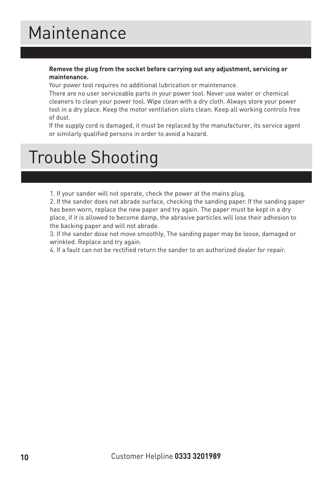### Maintenance

#### **Remove the plug from the socket before carrying out any adjustment, servicing or maintenance.**

Your power tool requires no additional lubrication or maintenance.

There are no user serviceable parts in your power tool. Never use water or chemical cleaners to clean your power tool. Wipe clean with a dry cloth. Always store your power tool in a dry place. Keep the motor ventilation slots clean. Keep all working controls free of dust.

If the supply cord is damaged, it must be replaced by the manufacturer, its service agent or similarly qualified persons in order to avoid a hazard.

### Trouble Shooting

1. If your sander will not operate, check the power at the mains plug.

2. If the sander does not abrade surface, checking the sanding paper. If the sanding paper has been worn, replace the new paper and try again. The paper must be kept in a dry place, if it is allowed to become damp, the abrasive particles will lose their adhesion to the backing paper and will not abrade.

3. If the sander dose not move smoothly, The sanding paper may be loose, damaged or wrinkled. Replace and try again.

4. If a fault can not be rectified return the sander to an authorized dealer for repair.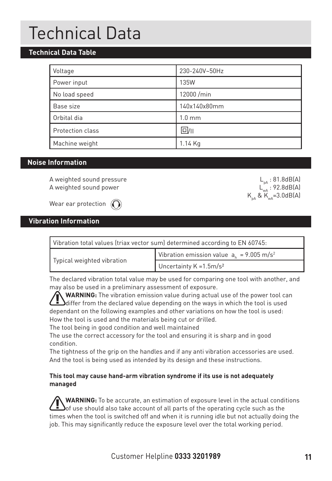### Technical Data

#### **Technical Data Table**

| Voltage          | 230-240V~50Hz    |
|------------------|------------------|
| Power input      | 135W             |
| No load speed    | 12000/min        |
| Base size        | 140x140x80mm     |
| Orbital dia      | $1.0 \text{ mm}$ |
| Protection class | $\Box$ /II       |
| Machine weight   | 1.14 Kg          |

#### **Noise Information**

A weighted sound pressure<br>  $\begin{array}{ccc}\nA \text{ weighted sound power} & A \text{ weight} & A \\
\end{array}$ A weighted sound power

Wear ear protection

#### **Vibration Information**

| Vibration total values (triax vector sum) determined according to EN 60745: |                                                         |  |
|-----------------------------------------------------------------------------|---------------------------------------------------------|--|
| Typical weighted vibration                                                  | Vibration emission value $a_h = 9.005$ m/s <sup>2</sup> |  |
|                                                                             | Uncertainty $K = 1.5 \text{m/s}^2$                      |  |

The declared vibration total value may be used for comparing one tool with another, and may also be used in a preliminary assessment of exposure.

**WARNING:** The vibration emission value during actual use of the power tool can  $\Delta$ differ from the declared value depending on the wavs in which the tool is used dependant on the following examples and other variations on how the tool is used: How the tool is used and the materials being cut or drilled.

The tool being in good condition and well maintained

The use the correct accessory for the tool and ensuring it is sharp and in good condition.

The tightness of the grip on the handles and if any anti vibration accessories are used. And the tool is being used as intended by its design and these instructions.

#### **This tool may cause hand-arm vibration syndrome if its use is not adequately managed**

**WARNING:** To be accurate, an estimation of exposure level in the actual conditions  $\mathsf{S}\mathsf{o}$ f use should also take account of all parts of the operating cycle such as the times when the tool is switched off and when it is running idle but not actually doing the job. This may significantly reduce the exposure level over the total working period.

 $K_{a}$ , &  $K_{b}$ =3.0dB(A)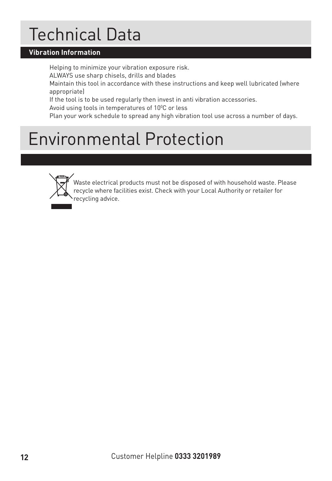## Technical Data

#### **Vibration Information**

Helping to minimize your vibration exposure risk. ALWAYS use sharp chisels, drills and blades

Maintain this tool in accordance with these instructions and keep well lubricated (where appropriate)

If the tool is to be used regularly then invest in anti vibration accessories.

Avoid using tools in temperatures of 10ºC or less

Plan your work schedule to spread any high vibration tool use across a number of days.

## Environmental Protection



Waste electrical products must not be disposed of with household waste. Please recycle where facilities exist. Check with your Local Authority or retailer for recycling advice.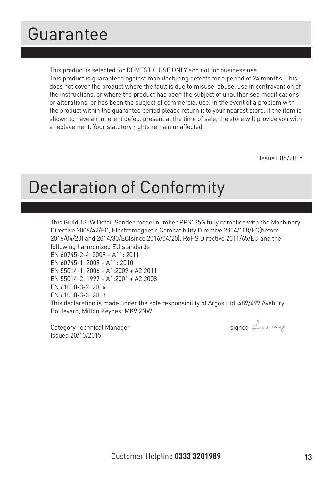### Guarantee

This product is selected for DOMESTIC USE ONLY and not for business use. This product is guaranteed against manufacturing defects for a period of 24 months. This does not cover the product where the fault is due to misuse, abuse, use in contravention of the instructions, or where the product has been the subject of unauthorised modifications or alterations, or has been the subject of commercial use. In the event of a problem with the product within the guarantee period please return it to your nearest store. If the item is shown to have an inherent defect present at the time of sale, the store will provide you with a replacement. Your statutory rights remain unaffected.

Issue1 08/2015

### Declaration of Conformity

This Guild 135W Detail Sander model number PPS135G fully complies with the Machinery Directive 2006/42/EC, Electromagnetic Compatibility Directive 2004/108/EC(before 2016/04/20) and 2014/30/EC(since 2016/04/20), RoHS Directive 2011/65/EU and the following harmonized EU standards EN 60745-2-4: 2009 + A11: 2011 EN 60745-1: 2009 + A11: 2010 EN 55014-1: 2006 + A1:2009 + A2:2011 EN 55014-2: 1997 + A1:2001 + A2:2008 EN 61000-3-2: 2014 EN 61000-3-3: 2013 This declaration is made under the sole responsibility of Argos Ltd, 489/499 Avebury Boulevard, Milton Keynes, MK9 2NW

Issued 20/10/2015

Category Technical Manager signed  $\frac{1}{2}$  signed  $\frac{1}{2}$  signed  $\frac{1}{2}$  signed  $\frac{1}{2}$  signed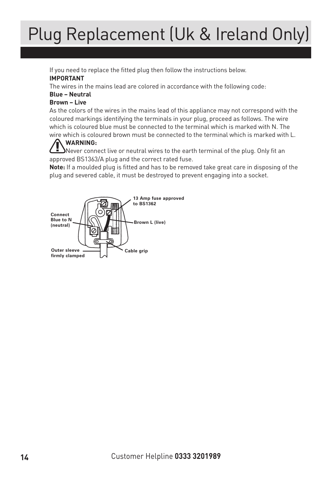# Plug Replacement (Uk & Ireland Only)

If you need to replace the fitted plug then follow the instructions below.

#### **IMPORTANT**

The wires in the mains lead are colored in accordance with the following code:

#### **Blue – Neutral**

#### **Brown – Live**

As the colors of the wires in the mains lead of this appliance may not correspond with the coloured markings identifying the terminals in your plug, proceed as follows. The wire which is coloured blue must be connected to the terminal which is marked with N. The wire which is coloured brown must be connected to the terminal which is marked with L.

#### **WARNING:**

 $\mathsf{\Sigma}$ Never connect live or neutral wires to the earth terminal of the plug. Only fit an approved BS1363/A plug and the correct rated fuse.

**Note:** If a moulded plug is fitted and has to be removed take great care in disposing of the plug and severed cable, it must be destroyed to prevent engaging into a socket.